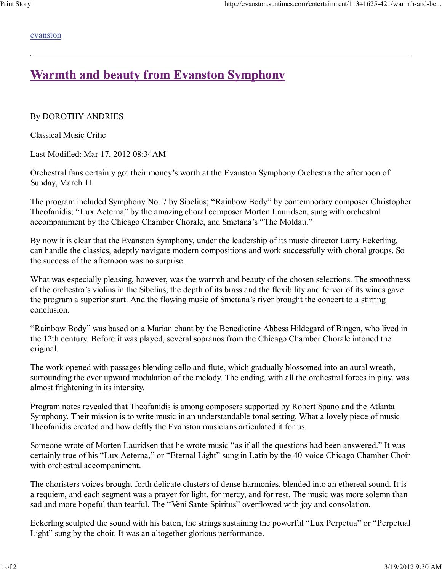evanston

## **Warmth and beauty from Evanston Symphony**

By DOROTHY ANDRIES

Classical Music Critic

Last Modified: Mar 17, 2012 08:34AM

Orchestral fans certainly got their money's worth at the Evanston Symphony Orchestra the afternoon of Sunday, March 11.

The program included Symphony No. 7 by Sibelius; "Rainbow Body" by contemporary composer Christopher Theofanidis; "Lux Aeterna" by the amazing choral composer Morten Lauridsen, sung with orchestral accompaniment by the Chicago Chamber Chorale, and Smetana's "The Moldau."

By now it is clear that the Evanston Symphony, under the leadership of its music director Larry Eckerling, can handle the classics, adeptly navigate modern compositions and work successfully with choral groups. So the success of the afternoon was no surprise.

What was especially pleasing, however, was the warmth and beauty of the chosen selections. The smoothness of the orchestra's violins in the Sibelius, the depth of its brass and the flexibility and fervor of its winds gave the program a superior start. And the flowing music of Smetana's river brought the concert to a stirring conclusion.

"Rainbow Body" was based on a Marian chant by the Benedictine Abbess Hildegard of Bingen, who lived in the 12th century. Before it was played, several sopranos from the Chicago Chamber Chorale intoned the original.

The work opened with passages blending cello and flute, which gradually blossomed into an aural wreath, surrounding the ever upward modulation of the melody. The ending, with all the orchestral forces in play, was almost frightening in its intensity.

Program notes revealed that Theofanidis is among composers supported by Robert Spano and the Atlanta Symphony. Their mission is to write music in an understandable tonal setting. What a lovely piece of music Theofanidis created and how deftly the Evanston musicians articulated it for us.

Someone wrote of Morten Lauridsen that he wrote music "as if all the questions had been answered." It was certainly true of his "Lux Aeterna," or "Eternal Light" sung in Latin by the 40-voice Chicago Chamber Choir with orchestral accompaniment.

The choristers voices brought forth delicate clusters of dense harmonies, blended into an ethereal sound. It is a requiem, and each segment was a prayer for light, for mercy, and for rest. The music was more solemn than sad and more hopeful than tearful. The "Veni Sante Spiritus" overflowed with joy and consolation.

Eckerling sculpted the sound with his baton, the strings sustaining the powerful "Lux Perpetua" or "Perpetual Light" sung by the choir. It was an altogether glorious performance.